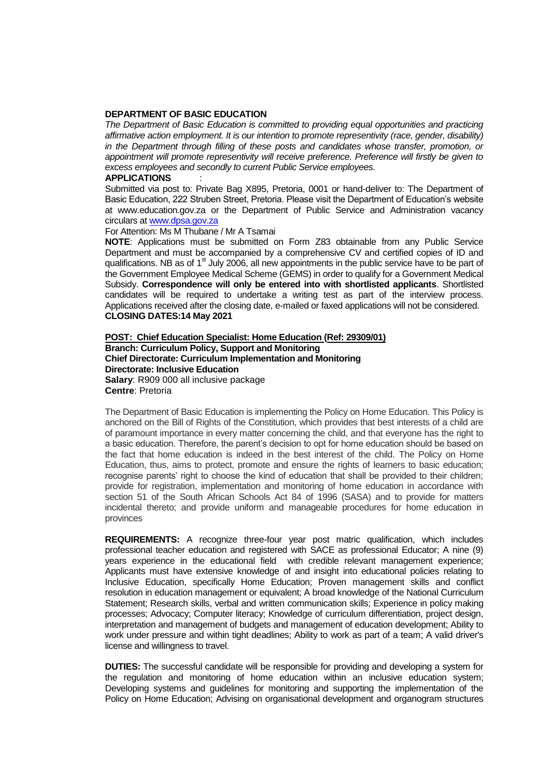## **DEPARTMENT OF BASIC EDUCATION**

*The Department of Basic Education is committed to providing equal opportunities and practicing affirmative action employment. It is our intention to promote representivity (race, gender, disability) in the Department through filling of these posts and candidates whose transfer, promotion, or appointment will promote representivity will receive preference. Preference will firstly be given to excess employees and secondly to current Public Service employees.* 

## **APPLICATIONS** :

Submitted via post to: Private Bag X895, Pretoria, 0001 or hand-deliver to: The Department of Basic Education, 222 Struben Street, Pretoria. Please visit the Department of Education's website at www.education.gov.za or the Department of Public Service and Administration vacancy circulars a[t www.dpsa.gov.za](http://www.dpsa.gov.za/)

For Attention: Ms M Thubane / Mr A Tsamai

**NOTE**: Applications must be submitted on Form Z83 obtainable from any Public Service Department and must be accompanied by a comprehensive CV and certified copies of ID and qualifications. NB as of 1<sup>st</sup> July 2006, all new appointments in the public service have to be part of the Government Employee Medical Scheme (GEMS) in order to qualify for a Government Medical Subsidy. **Correspondence will only be entered into with shortlisted applicants**. Shortlisted candidates will be required to undertake a writing test as part of the interview process. Applications received after the closing date, e-mailed or faxed applications will not be considered. **CLOSING DATES:14 May 2021** 

**POST: Chief Education Specialist: Home Education (Ref: 29309/01) Branch: Curriculum Policy, Support and Monitoring Chief Directorate: Curriculum Implementation and Monitoring Directorate: Inclusive Education Salary**: R909 000 all inclusive package **Centre**: Pretoria

The Department of Basic Education is implementing the Policy on Home Education. This Policy is anchored on the Bill of Rights of the Constitution, which provides that best interests of a child are of paramount importance in every matter concerning the child, and that everyone has the right to a basic education. Therefore, the parent's decision to opt for home education should be based on the fact that home education is indeed in the best interest of the child. The Policy on Home Education, thus, aims to protect, promote and ensure the rights of learners to basic education; recognise parents' right to choose the kind of education that shall be provided to their children; provide for registration, implementation and monitoring of home education in accordance with section 51 of the South African Schools Act 84 of 1996 (SASA) and to provide for matters incidental thereto; and provide uniform and manageable procedures for home education in provinces

**REQUIREMENTS:** A recognize three-four year post matric qualification, which includes professional teacher education and registered with SACE as professional Educator; A nine (9) years experience in the educational field with credible relevant management experience; Applicants must have extensive knowledge of and insight into educational policies relating to Inclusive Education, specifically Home Education; Proven management skills and conflict resolution in education management or equivalent; A broad knowledge of the National Curriculum Statement; Research skills, verbal and written communication skills; Experience in policy making processes; Advocacy; Computer literacy; Knowledge of curriculum differentiation, project design, interpretation and management of budgets and management of education development; Ability to work under pressure and within tight deadlines; Ability to work as part of a team; A valid driver's license and willingness to travel.

**DUTIES:** The successful candidate will be responsible for providing and developing a system for the regulation and monitoring of home education within an inclusive education system; Developing systems and guidelines for monitoring and supporting the implementation of the Policy on Home Education; Advising on organisational development and organogram structures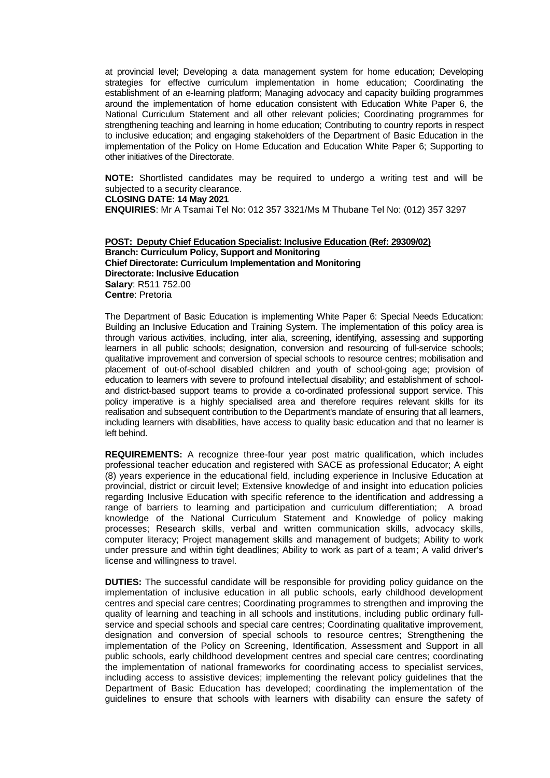at provincial level; Developing a data management system for home education; Developing strategies for effective curriculum implementation in home education; Coordinating the establishment of an e-learning platform; Managing advocacy and capacity building programmes around the implementation of home education consistent with Education White Paper 6, the National Curriculum Statement and all other relevant policies; Coordinating programmes for strengthening teaching and learning in home education; Contributing to country reports in respect to inclusive education; and engaging stakeholders of the Department of Basic Education in the implementation of the Policy on Home Education and Education White Paper 6; Supporting to other initiatives of the Directorate.

**NOTE:** Shortlisted candidates may be required to undergo a writing test and will be subjected to a security clearance.

## **CLOSING DATE: 14 May 2021**

**ENQUIRIES**: Mr A Tsamai Tel No: 012 357 3321/Ms M Thubane Tel No: (012) 357 3297

**POST: Deputy Chief Education Specialist: Inclusive Education (Ref: 29309/02) Branch: Curriculum Policy, Support and Monitoring Chief Directorate: Curriculum Implementation and Monitoring Directorate: Inclusive Education Salary**: R511 752.00 **Centre**: Pretoria

The Department of Basic Education is implementing White Paper 6: Special Needs Education: Building an Inclusive Education and Training System. The implementation of this policy area is through various activities, including, inter alia, screening, identifying, assessing and supporting learners in all public schools; designation, conversion and resourcing of full-service schools; qualitative improvement and conversion of special schools to resource centres; mobilisation and placement of out-of-school disabled children and youth of school-going age; provision of education to learners with severe to profound intellectual disability; and establishment of schooland district-based support teams to provide a co-ordinated professional support service. This policy imperative is a highly specialised area and therefore requires relevant skills for its realisation and subsequent contribution to the Department's mandate of ensuring that all learners, including learners with disabilities, have access to quality basic education and that no learner is left behind.

**REQUIREMENTS:** A recognize three-four year post matric qualification, which includes professional teacher education and registered with SACE as professional Educator; A eight (8) years experience in the educational field, including experience in Inclusive Education at provincial, district or circuit level; Extensive knowledge of and insight into education policies regarding Inclusive Education with specific reference to the identification and addressing a range of barriers to learning and participation and curriculum differentiation; A broad knowledge of the National Curriculum Statement and Knowledge of policy making processes; Research skills, verbal and written communication skills, advocacy skills, computer literacy; Project management skills and management of budgets; Ability to work under pressure and within tight deadlines; Ability to work as part of a team; A valid driver's license and willingness to travel.

**DUTIES:** The successful candidate will be responsible for providing policy guidance on the implementation of inclusive education in all public schools, early childhood development centres and special care centres; Coordinating programmes to strengthen and improving the quality of learning and teaching in all schools and institutions, including public ordinary fullservice and special schools and special care centres; Coordinating qualitative improvement, designation and conversion of special schools to resource centres; Strengthening the implementation of the Policy on Screening, Identification, Assessment and Support in all public schools, early childhood development centres and special care centres; coordinating the implementation of national frameworks for coordinating access to specialist services, including access to assistive devices; implementing the relevant policy guidelines that the Department of Basic Education has developed; coordinating the implementation of the guidelines to ensure that schools with learners with disability can ensure the safety of